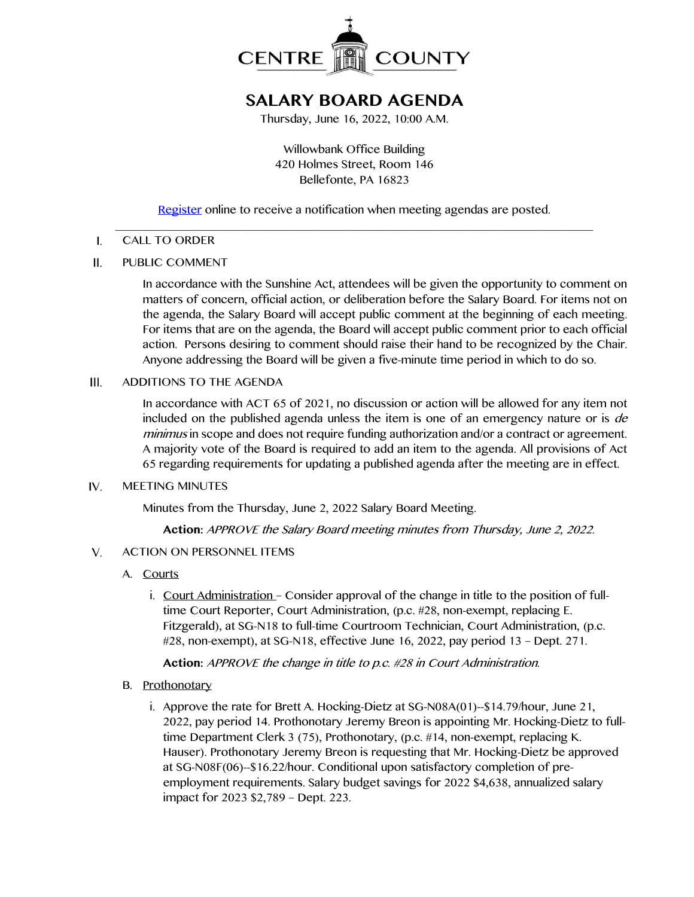

# **SALARY BOARD AGENDA**

Thursday, June 16, 2022, 10:00 A.M.

Willowbank Office Building 420 Holmes Street, Room 146 Bellefonte, PA 16823

[Register](http://www.centrecountypa.gov/AgendaCenter) online to receive a notification when meeting agendas are posted.

#### \_\_\_\_\_\_\_\_\_\_\_\_\_\_\_\_\_\_\_\_\_\_\_\_\_\_\_\_\_\_\_\_\_\_\_\_\_\_\_\_\_\_\_\_\_\_\_\_\_\_\_\_\_\_\_\_\_\_\_\_\_\_\_\_\_\_\_\_\_\_\_\_\_\_\_\_\_\_  $\mathbf{I}$ . CALL TO ORDER

 $II.$ PUBLIC COMMENT

> In accordance with the Sunshine Act, attendees will be given the opportunity to comment on matters of concern, official action, or deliberation before the Salary Board. For items not on the agenda, the Salary Board will accept public comment at the beginning of each meeting. For items that are on the agenda, the Board will accept public comment prior to each official action. Persons desiring to comment should raise their hand to be recognized by the Chair. Anyone addressing the Board will be given a five-minute time period in which to do so.

 $III.$ ADDITIONS TO THE AGENDA

> In accordance with ACT 65 of 2021, no discussion or action will be allowed for any item not included on the published agenda unless the item is one of an emergency nature or is de minimus in scope and does not require funding authorization and/or a contract or agreement. A majority vote of the Board is required to add an item to the agenda. All provisions of Act 65 regarding requirements for updating a published agenda after the meeting are in effect.

#### IV. MEETING MINUTES

Minutes from the Thursday, June 2, 2022 Salary Board Meeting.

**Action:** APPROVE the Salary Board meeting minutes from Thursday, June 2, 2022.

- $V_{1}$ ACTION ON PERSONNEL ITEMS
	- A. Courts
		- i. Court Administration Consider approval of the change in title to the position of fulltime Court Reporter, Court Administration, (p.c. #28, non-exempt, replacing E. Fitzgerald), at SG-N18 to full-time Courtroom Technician, Court Administration, (p.c. #28, non-exempt), at SG-N18, effective June 16, 2022, pay period 13 – Dept. 271.

**Action:** APPROVE the change in title to p.c. #28 in Court Administration.

- B. Prothonotary
	- i. Approve the rate for Brett A. Hocking-Dietz at SG-N08A(01)--\$14.79/hour, June 21, 2022, pay period 14. Prothonotary Jeremy Breon is appointing Mr. Hocking-Dietz to fulltime Department Clerk 3 (75), Prothonotary, (p.c. #14, non-exempt, replacing K. Hauser). Prothonotary Jeremy Breon is requesting that Mr. Hocking-Dietz be approved at SG-N08F(06)--\$16.22/hour. Conditional upon satisfactory completion of preemployment requirements. Salary budget savings for 2022 \$4,638, annualized salary impact for 2023 \$2,789 – Dept. 223.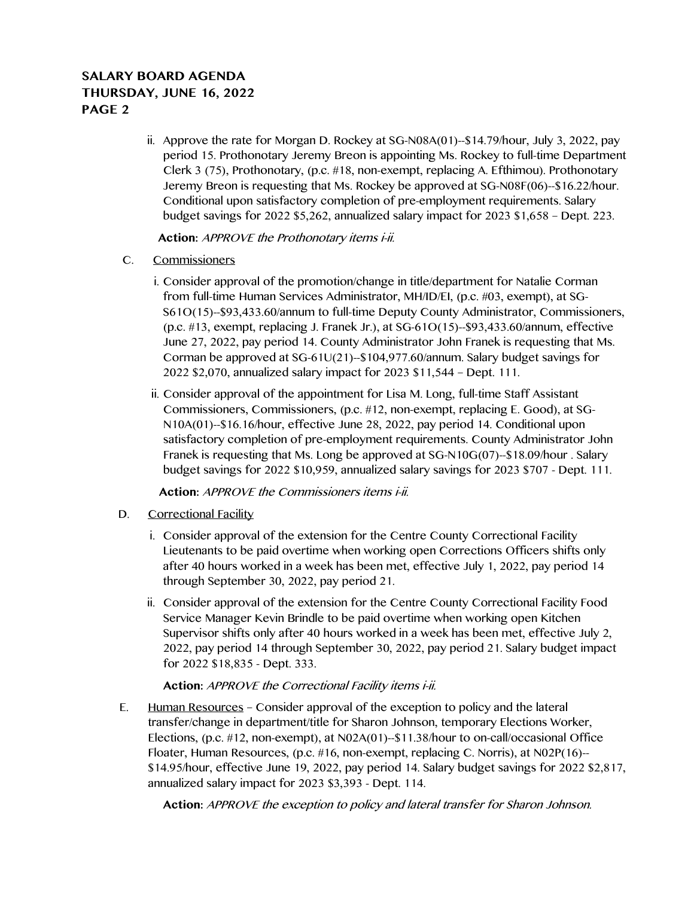### **SALARY BOARD AGENDA THURSDAY, JUNE 16, 2022 PAGE 2**

ii. Approve the rate for Morgan D. Rockey at SG-N08A(01)- $$14.79/h$ our, July 3, 2022, pay period 15. Prothonotary Jeremy Breon is appointing Ms. Rockey to full-time Department Clerk 3 (75), Prothonotary, (p.c. #18, non-exempt, replacing A. Efthimou). Prothonotary Jeremy Breon is requesting that Ms. Rockey be approved at SG-N08F(06)--\$16.22/hour. Conditional upon satisfactory completion of pre-employment requirements. Salary budget savings for 2022 \$5,262, annualized salary impact for 2023 \$1,658 – Dept. 223.

**Action:** APPROVE the Prothonotary items i-ii.

- C. Commissioners
	- i. Consider approval of the promotion/change in title/department for Natalie Corman from full-time Human Services Administrator, MH/ID/EI, (p.c. #03, exempt), at SG-S61O(15)--\$93,433.60/annum to full-time Deputy County Administrator, Commissioners, (p.c. #13, exempt, replacing J. Franek Jr.), at SG-61O(15)--\$93,433.60/annum, effective June 27, 2022, pay period 14. County Administrator John Franek is requesting that Ms. Corman be approved at SG-61U(21)--\$104,977.60/annum. Salary budget savings for 2022 \$2,070, annualized salary impact for 2023 \$11,544 – Dept. 111.
	- ii. Consider approval of the appointment for Lisa M. Long, full-time Staff Assistant Commissioners, Commissioners, (p.c. #12, non-exempt, replacing E. Good), at SG-N10A(01)--\$16.16/hour, effective June 28, 2022, pay period 14. Conditional upon satisfactory completion of pre-employment requirements. County Administrator John Franek is requesting that Ms. Long be approved at SG-N10G(07)--\$18.09/hour . Salary budget savings for 2022 \$10,959, annualized salary savings for 2023 \$707 - Dept. 111.

**Action:** APPROVE the Commissioners items i-ii.

- D. Correctional Facility
	- i. Consider approval of the extension for the Centre County Correctional Facility Lieutenants to be paid overtime when working open Corrections Officers shifts only after 40 hours worked in a week has been met, effective July 1, 2022, pay period 14 through September 30, 2022, pay period 21.
	- ii. Consider approval of the extension for the Centre County Correctional Facility Food Service Manager Kevin Brindle to be paid overtime when working open Kitchen Supervisor shifts only after 40 hours worked in a week has been met, effective July 2, 2022, pay period 14 through September 30, 2022, pay period 21. Salary budget impact for 2022 \$18,835 - Dept. 333.

### Action: APPROVE the Correctional Facility items i-ii.

E. Human Resources – Consider approval of the exception to policy and the lateral transfer/change in department/title for Sharon Johnson, temporary Elections Worker, Elections, (p.c. #12, non-exempt), at N02A(01)--\$11.38/hour to on-call/occasional Office Floater, Human Resources, (p.c. #16, non-exempt, replacing C. Norris), at N02P(16)-- \$14.95/hour, effective June 19, 2022, pay period 14. Salary budget savings for 2022 \$2,817, annualized salary impact for 2023 \$3,393 - Dept. 114.

**Action:** APPROVE the exception to policy and lateral transfer for Sharon Johnson.